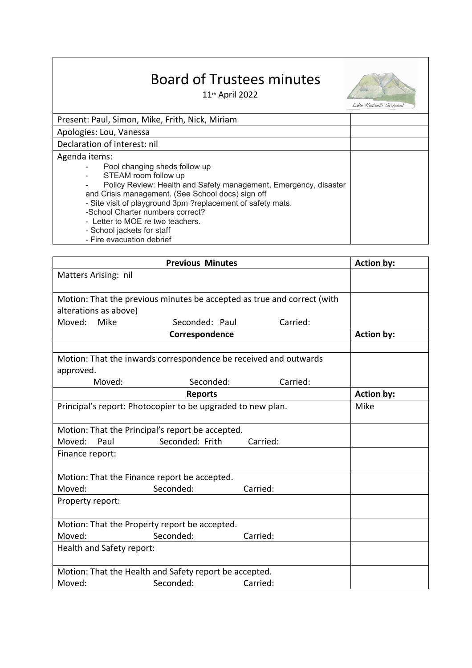## Board of Trustees minutes

11th April 2022



Lake Rotoiti School

| Present: Paul, Simon, Mike, Frith, Nick, Miriam                  |  |
|------------------------------------------------------------------|--|
| Apologies: Lou, Vanessa                                          |  |
| Declaration of interest: nil                                     |  |
| Agenda items:                                                    |  |
| Pool changing sheds follow up                                    |  |
| STEAM room follow up                                             |  |
| Policy Review: Health and Safety management, Emergency, disaster |  |
| and Crisis management. (See School docs) sign off                |  |
| - Site visit of playground 3pm ?replacement of safety mats.      |  |
| -School Charter numbers correct?                                 |  |
| - Letter to MOE re two teachers.                                 |  |
| - School jackets for staff                                       |  |
| - Fire evacuation debrief                                        |  |

|                           | <b>Previous Minutes</b>                                          |                                                                         | <b>Action by:</b> |
|---------------------------|------------------------------------------------------------------|-------------------------------------------------------------------------|-------------------|
| Matters Arising: nil      |                                                                  |                                                                         |                   |
|                           |                                                                  | Motion: That the previous minutes be accepted as true and correct (with |                   |
| alterations as above)     |                                                                  |                                                                         |                   |
| Moved:<br>Mike            | Seconded: Paul                                                   | Carried:                                                                |                   |
|                           | Correspondence                                                   |                                                                         | <b>Action by:</b> |
|                           | Motion: That the inwards correspondence be received and outwards |                                                                         |                   |
| approved.                 |                                                                  |                                                                         |                   |
| Moved:                    | Seconded:                                                        | Carried:                                                                |                   |
|                           | <b>Reports</b>                                                   |                                                                         | <b>Action by:</b> |
|                           | Principal's report: Photocopier to be upgraded to new plan.      |                                                                         | Mike              |
|                           | Motion: That the Principal's report be accepted.                 |                                                                         |                   |
| Moved:<br>Paul            | Seconded: Frith                                                  | Carried:                                                                |                   |
| Finance report:           |                                                                  |                                                                         |                   |
|                           | Motion: That the Finance report be accepted.                     |                                                                         |                   |
| Moved:                    | Seconded:                                                        | Carried:                                                                |                   |
| Property report:          |                                                                  |                                                                         |                   |
|                           | Motion: That the Property report be accepted.                    |                                                                         |                   |
| Moved:                    | Seconded:                                                        | Carried:                                                                |                   |
| Health and Safety report: |                                                                  |                                                                         |                   |
|                           | Motion: That the Health and Safety report be accepted.           |                                                                         |                   |
| Moved:                    | Seconded:                                                        | Carried:                                                                |                   |